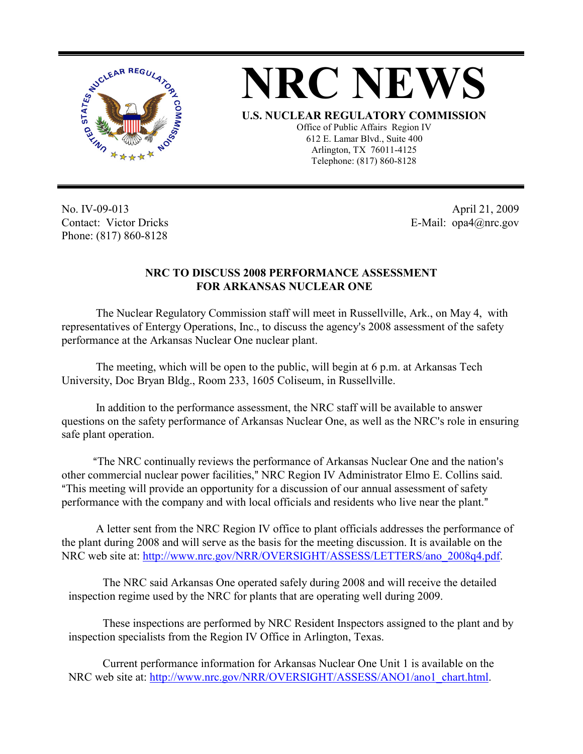



**U.S. NUCLEAR REGULATORY COMMISSION**

Office of Public Affairs Region IV 612 E. Lamar Blvd., Suite 400 Arlington, TX 76011-4125 Telephone: (817) 860-8128

No. IV-09-013 Contact: Victor Dricks Phone: (817) 860-8128

 April 21, 2009 E-Mail: opa4@nrc.gov

## **NRC TO DISCUSS 2008 PERFORMANCE ASSESSMENT FOR ARKANSAS NUCLEAR ONE**

The Nuclear Regulatory Commission staff will meet in Russellville, Ark., on May 4, with representatives of Entergy Operations, Inc., to discuss the agency's 2008 assessment of the safety performance at the Arkansas Nuclear One nuclear plant.

The meeting, which will be open to the public, will begin at 6 p.m. at Arkansas Tech University, Doc Bryan Bldg., Room 233, 1605 Coliseum, in Russellville.

In addition to the performance assessment, the NRC staff will be available to answer questions on the safety performance of Arkansas Nuclear One, as well as the NRC's role in ensuring safe plant operation.

"The NRC continually reviews the performance of Arkansas Nuclear One and the nation's other commercial nuclear power facilities," NRC Region IV Administrator Elmo E. Collins said. AThis meeting will provide an opportunity for a discussion of our annual assessment of safety performance with the company and with local officials and residents who live near the plant."

A letter sent from the NRC Region IV office to plant officials addresses the performance of the plant during 2008 and will serve as the basis for the meeting discussion. It is available on the NRC web site at: http://www.nrc.gov/NRR/OVERSIGHT/ASSESS/LETTERS/ano\_2008q4.pdf.

The NRC said Arkansas One operated safely during 2008 and will receive the detailed inspection regime used by the NRC for plants that are operating well during 2009.

These inspections are performed by NRC Resident Inspectors assigned to the plant and by inspection specialists from the Region IV Office in Arlington, Texas.

Current performance information for Arkansas Nuclear One Unit 1 is available on the NRC web site at: http://www.nrc.gov/NRR/OVERSIGHT/ASSESS/ANO1/ano1\_chart.html.